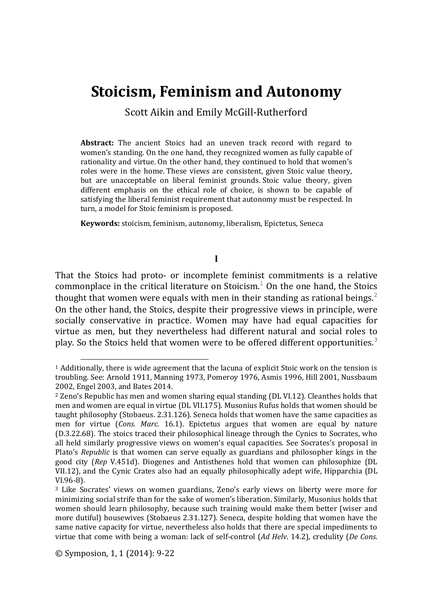# **Stoicism, Feminism and Autonomy**

Scott Aikin and Emily McGill-Rutherford

**Abstract:** The ancient Stoics had an uneven track record with regard to women's standing. On the one hand, they recognized women as fully capable of rationality and virtue. On the other hand, they continued to hold that women's roles were in the home. These views are consistent, given Stoic value theory, but are unacceptable on liberal feminist grounds. Stoic value theory, given different emphasis on the ethical role of choice, is shown to be capable of satisfying the liberal feminist requirement that autonomy must be respected. In turn, a model for Stoic feminism is proposed.

**Keywords:** stoicism, feminism, autonomy, liberalism, Epictetus, Seneca

**I**

That the Stoics had proto- or incomplete feminist commitments is a relative commonplace in the critical literature on Stoicism.<sup>1</sup> On the one hand, the Stoics thought that women were equals with men in their standing as rational beings.<sup>2</sup> On the other hand, the Stoics, despite their progressive views in principle, were socially conservative in practice. Women may have had equal capacities for virtue as men, but they nevertheless had different natural and social roles to play. So the Stoics held that women were to be offered different opportunities.<sup>3</sup>

j

 $1$  Additionally, there is wide agreement that the lacuna of explicit Stoic work on the tension is troubling. See: Arnold 1911, Manning 1973, Pomeroy 1976, Asmis 1996, Hill 2001, Nussbaum 2002, Engel 2003, and Bates 2014.

<sup>2</sup> Zeno's Republic has men and women sharing equal standing (DL VI.12). Cleanthes holds that men and women are equal in virtue (DL VII.175). Musonius Rufus holds that women should be taught philosophy (Stobaeus. 2.31.126). Seneca holds that women have the same capacities as men for virtue (*Cons. Marc*. 16.1). Epictetus argues that women are equal by nature (D.3.22.68). The stoics traced their philosophical lineage through the Cynics to Socrates, who all held similarly progressive views on women's equal capacities. See Socrates's proposal in Plato's *Republic* is that women can serve equally as guardians and philosopher kings in the good city (*Rep* V.451d). Diogenes and Antisthenes hold that women can philosophize (DL VII.12), and the Cynic Crates also had an equally philosophically adept wife, Hipparchia (DL VI.96-8).

<sup>3</sup> Like Socrates' views on women guardians, Zeno's early views on liberty were more for minimizing social strife than for the sake of women's liberation. Similarly, Musonius holds that women should learn philosophy, because such training would make them better (wiser and more dutiful) housewives (Stobaeus 2.31.127). Seneca, despite holding that women have the same native capacity for virtue, nevertheless also holds that there are special impediments to virtue that come with being a woman: lack of self-control (*Ad Helv*. 14.2), credulity (*De Cons*.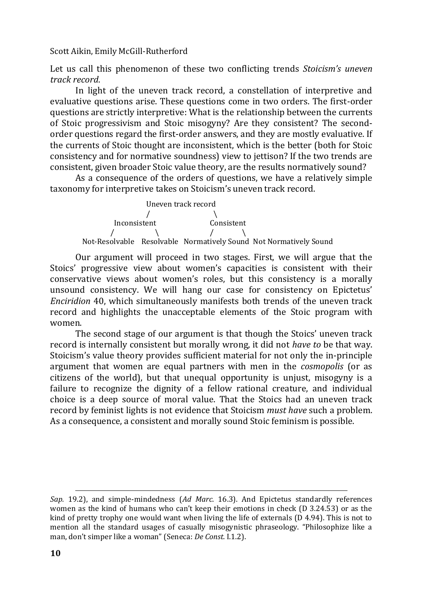Let us call this phenomenon of these two conflicting trends *Stoicism's uneven track record*.

In light of the uneven track record, a constellation of interpretive and evaluative questions arise. These questions come in two orders. The first-order questions are strictly interpretive: What is the relationship between the currents of Stoic progressivism and Stoic misogyny? Are they consistent? The secondorder questions regard the first-order answers, and they are mostly evaluative. If the currents of Stoic thought are inconsistent, which is the better (both for Stoic consistency and for normative soundness) view to jettison? If the two trends are consistent, given broader Stoic value theory, are the results normatively sound?

As a consequence of the orders of questions, we have a relatively simple taxonomy for interpretive takes on Stoicism's uneven track record.

 Uneven track record  $/ \qquad \qquad$  Inconsistent Consistent  $\prime$  /  $\prime$  /  $\prime$ Not-Resolvable Resolvable Normatively Sound Not Normatively Sound

Our argument will proceed in two stages. First, we will argue that the Stoics' progressive view about women's capacities is consistent with their conservative views about women's roles, but this consistency is a morally unsound consistency. We will hang our case for consistency on Epictetus' *Enciridion* 40, which simultaneously manifests both trends of the uneven track record and highlights the unacceptable elements of the Stoic program with women.

The second stage of our argument is that though the Stoics' uneven track record is internally consistent but morally wrong, it did not *have to* be that way. Stoicism's value theory provides sufficient material for not only the in-principle argument that women are equal partners with men in the *cosmopolis* (or as citizens of the world), but that unequal opportunity is unjust, misogyny is a failure to recognize the dignity of a fellow rational creature, and individual choice is a deep source of moral value. That the Stoics had an uneven track record by feminist lights is not evidence that Stoicism *must have* such a problem. As a consequence, a consistent and morally sound Stoic feminism is possible.

 $\overline{a}$ 

*Sap.* 19.2), and simple-mindedness (*Ad Marc*. 16.3). And Epictetus standardly references women as the kind of humans who can't keep their emotions in check (D 3.24.53) or as the kind of pretty trophy one would want when living the life of externals (D 4.94). This is not to mention all the standard usages of casually misogynistic phraseology. "Philosophize like a man, don't simper like a woman" (Seneca: *De Const.* I.1.2).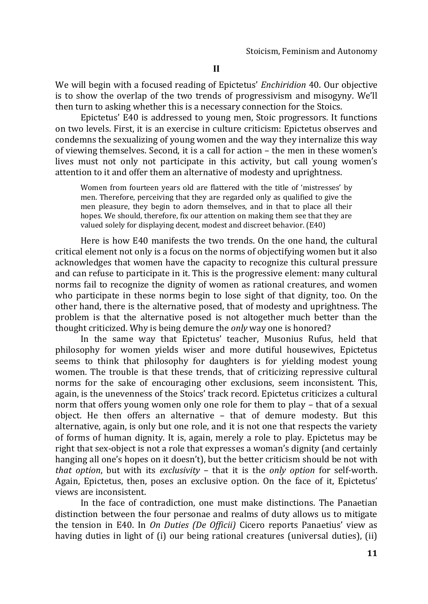We will begin with a focused reading of Epictetus' *Enchiridion* 40. Our objective is to show the overlap of the two trends of progressivism and misogyny. We'll then turn to asking whether this is a necessary connection for the Stoics.

Epictetus' E40 is addressed to young men, Stoic progressors. It functions on two levels. First, it is an exercise in culture criticism: Epictetus observes and condemns the sexualizing of young women and the way they internalize this way of viewing themselves. Second, it is a call for action – the men in these women's lives must not only not participate in this activity, but call young women's attention to it and offer them an alternative of modesty and uprightness.

Women from fourteen years old are flattered with the title of 'mistresses' by men. Therefore, perceiving that they are regarded only as qualified to give the men pleasure, they begin to adorn themselves, and in that to place all their hopes. We should, therefore, fix our attention on making them see that they are valued solely for displaying decent, modest and discreet behavior. (E40)

Here is how E40 manifests the two trends. On the one hand, the cultural critical element not only is a focus on the norms of objectifying women but it also acknowledges that women have the capacity to recognize this cultural pressure and can refuse to participate in it. This is the progressive element: many cultural norms fail to recognize the dignity of women as rational creatures, and women who participate in these norms begin to lose sight of that dignity, too. On the other hand, there is the alternative posed, that of modesty and uprightness. The problem is that the alternative posed is not altogether much better than the thought criticized. Why is being demure the *only* way one is honored?

In the same way that Epictetus' teacher, Musonius Rufus, held that philosophy for women yields wiser and more dutiful housewives, Epictetus seems to think that philosophy for daughters is for yielding modest young women. The trouble is that these trends, that of criticizing repressive cultural norms for the sake of encouraging other exclusions, seem inconsistent. This, again, is the unevenness of the Stoics' track record. Epictetus criticizes a cultural norm that offers young women only one role for them to play – that of a sexual object. He then offers an alternative – that of demure modesty. But this alternative, again, is only but one role, and it is not one that respects the variety of forms of human dignity. It is, again, merely a role to play. Epictetus may be right that sex-object is not a role that expresses a woman's dignity (and certainly hanging all one's hopes on it doesn't), but the better criticism should be not with *that option*, but with its *exclusivity* – that it is the *only option* for self-worth. Again, Epictetus, then, poses an exclusive option. On the face of it, Epictetus' views are inconsistent.

In the face of contradiction, one must make distinctions. The Panaetian distinction between the four personae and realms of duty allows us to mitigate the tension in E40. In *On Duties (De Officii)* Cicero reports Panaetius' view as having duties in light of (i) our being rational creatures (universal duties), (ii)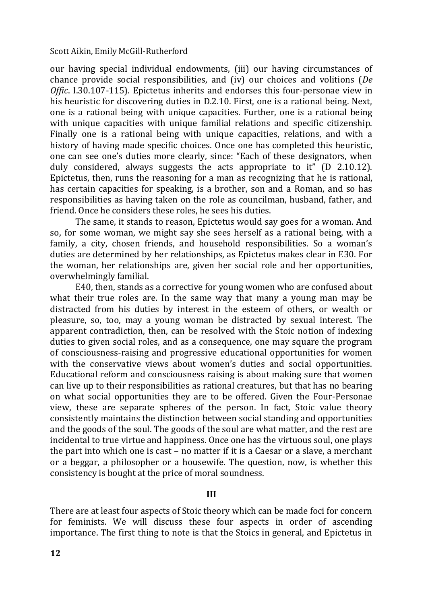our having special individual endowments, (iii) our having circumstances of chance provide social responsibilities, and (iv) our choices and volitions (*De Offic*. I.30.107-115). Epictetus inherits and endorses this four-personae view in his heuristic for discovering duties in D.2.10. First, one is a rational being. Next, one is a rational being with unique capacities. Further, one is a rational being with unique capacities with unique familial relations and specific citizenship. Finally one is a rational being with unique capacities, relations, and with a history of having made specific choices. Once one has completed this heuristic, one can see one's duties more clearly, since: "Each of these designators, when duly considered, always suggests the acts appropriate to it" (D 2.10.12). Epictetus, then, runs the reasoning for a man as recognizing that he is rational, has certain capacities for speaking, is a brother, son and a Roman, and so has responsibilities as having taken on the role as councilman, husband, father, and friend. Once he considers these roles, he sees his duties.

The same, it stands to reason, Epictetus would say goes for a woman. And so, for some woman, we might say she sees herself as a rational being, with a family, a city, chosen friends, and household responsibilities. So a woman's duties are determined by her relationships, as Epictetus makes clear in E30. For the woman, her relationships are, given her social role and her opportunities, overwhelmingly familial.

E40, then, stands as a corrective for young women who are confused about what their true roles are. In the same way that many a young man may be distracted from his duties by interest in the esteem of others, or wealth or pleasure, so, too, may a young woman be distracted by sexual interest. The apparent contradiction, then, can be resolved with the Stoic notion of indexing duties to given social roles, and as a consequence, one may square the program of consciousness-raising and progressive educational opportunities for women with the conservative views about women's duties and social opportunities. Educational reform and consciousness raising is about making sure that women can live up to their responsibilities as rational creatures, but that has no bearing on what social opportunities they are to be offered. Given the Four-Personae view, these are separate spheres of the person. In fact, Stoic value theory consistently maintains the distinction between social standing and opportunities and the goods of the soul. The goods of the soul are what matter, and the rest are incidental to true virtue and happiness. Once one has the virtuous soul, one plays the part into which one is cast – no matter if it is a Caesar or a slave, a merchant or a beggar, a philosopher or a housewife. The question, now, is whether this consistency is bought at the price of moral soundness.

# **III**

There are at least four aspects of Stoic theory which can be made foci for concern for feminists. We will discuss these four aspects in order of ascending importance. The first thing to note is that the Stoics in general, and Epictetus in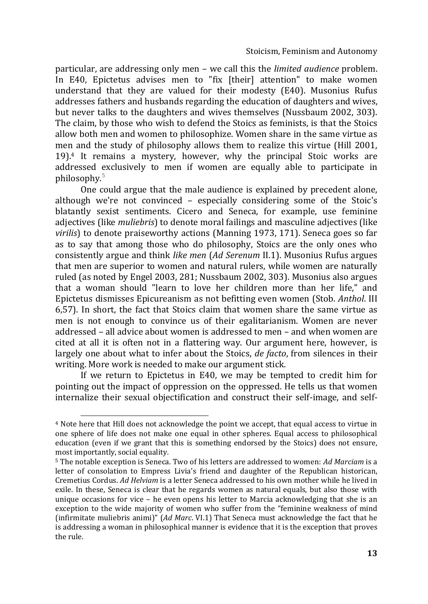particular, are addressing only men – we call this the *limited audience* problem. In E40, Epictetus advises men to "fix [their] attention" to make women understand that they are valued for their modesty (E40). Musonius Rufus addresses fathers and husbands regarding the education of daughters and wives, but never talks to the daughters and wives themselves (Nussbaum 2002, 303). The claim, by those who wish to defend the Stoics as feminists, is that the Stoics allow both men and women to philosophize. Women share in the same virtue as men and the study of philosophy allows them to realize this virtue (Hill 2001, 19).<sup>4</sup> It remains a mystery, however, why the principal Stoic works are addressed exclusively to men if women are equally able to participate in philosophy.<sup>5</sup>

One could argue that the male audience is explained by precedent alone, although we're not convinced – especially considering some of the Stoic's blatantly sexist sentiments. Cicero and Seneca, for example, use feminine adjectives (like *muliebris*) to denote moral failings and masculine adjectives (like *virilis*) to denote praiseworthy actions (Manning 1973, 171). Seneca goes so far as to say that among those who do philosophy, Stoics are the only ones who consistently argue and think *like men* (*Ad Serenum* II.1). Musonius Rufus argues that men are superior to women and natural rulers, while women are naturally ruled (as noted by Engel 2003, 281; Nussbaum 2002, 303). Musonius also argues that a woman should "learn to love her children more than her life," and Epictetus dismisses Epicureanism as not befitting even women (Stob. *Anthol*. III 6,57). In short, the fact that Stoics claim that women share the same virtue as men is not enough to convince us of their egalitarianism. Women are never addressed – all advice about women is addressed to men – and when women are cited at all it is often not in a flattering way. Our argument here, however, is largely one about what to infer about the Stoics, *de facto*, from silences in their writing. More work is needed to make our argument stick.

If we return to Epictetus in E40, we may be tempted to credit him for pointing out the impact of oppression on the oppressed. He tells us that women internalize their sexual objectification and construct their self-image, and self-

j

<sup>4</sup> Note here that Hill does not acknowledge the point we accept, that equal access to virtue in one sphere of life does not make one equal in other spheres. Equal access to philosophical education (even if we grant that this is something endorsed by the Stoics) does not ensure, most importantly, social equality.

<sup>5</sup> The notable exception is Seneca. Two of his letters are addressed to women: *Ad Marciam* is a letter of consolation to Empress Livia's friend and daughter of the Republican historican, Cremetius Cordus. *Ad Helviam* is a letter Seneca addressed to his own mother while he lived in exile. In these, Seneca is clear that he regards women as natural equals, but also those with unique occasions for vice – he even opens his letter to Marcia acknowledging that she is an exception to the wide majority of women who suffer from the "feminine weakness of mind (infirmitate muliebris animi)" (*Ad Marc*. VI.1) That Seneca must acknowledge the fact that he is addressing a woman in philosophical manner is evidence that it is the exception that proves the rule.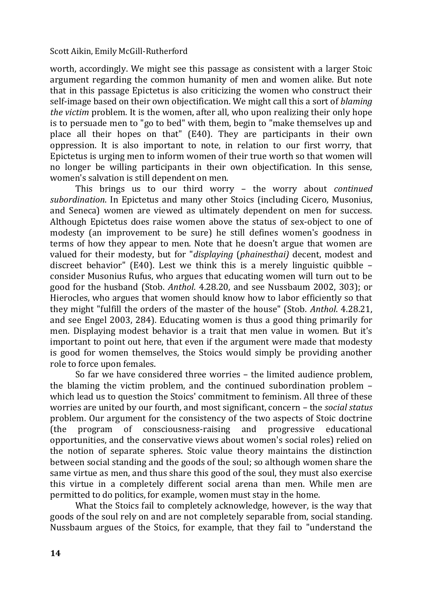worth, accordingly. We might see this passage as consistent with a larger Stoic argument regarding the common humanity of men and women alike. But note that in this passage Epictetus is also criticizing the women who construct their self-image based on their own objectification. We might call this a sort of *blaming the victim* problem. It is the women, after all, who upon realizing their only hope is to persuade men to "go to bed" with them, begin to "make themselves up and place all their hopes on that" (E40). They are participants in their own oppression. It is also important to note, in relation to our first worry, that Epictetus is urging men to inform women of their true worth so that women will no longer be willing participants in their own objectification. In this sense, women's salvation is still dependent on men.

This brings us to our third worry – the worry about *continued subordination*. In Epictetus and many other Stoics (including Cicero, Musonius, and Seneca) women are viewed as ultimately dependent on men for success. Although Epictetus does raise women above the status of sex-object to one of modesty (an improvement to be sure) he still defines women's goodness in terms of how they appear to men. Note that he doesn't argue that women are valued for their modesty, but for "*displaying* (*phainesthai)* decent, modest and discreet behavior" (E40). Lest we think this is a merely linguistic quibble – consider Musonius Rufus, who argues that educating women will turn out to be good for the husband (Stob. *Anthol*. 4.28.20, and see Nussbaum 2002, 303); or Hierocles, who argues that women should know how to labor efficiently so that they might "fulfill the orders of the master of the house" (Stob. *Anthol*. 4.28.21, and see Engel 2003, 284). Educating women is thus a good thing primarily for men. Displaying modest behavior is a trait that men value in women. But it's important to point out here, that even if the argument were made that modesty is good for women themselves, the Stoics would simply be providing another role to force upon females.

So far we have considered three worries – the limited audience problem, the blaming the victim problem, and the continued subordination problem – which lead us to question the Stoics' commitment to feminism. All three of these worries are united by our fourth, and most significant, concern – the *social status* problem. Our argument for the consistency of the two aspects of Stoic doctrine (the program of consciousness-raising and progressive educational opportunities, and the conservative views about women's social roles) relied on the notion of separate spheres. Stoic value theory maintains the distinction between social standing and the goods of the soul; so although women share the same virtue as men, and thus share this good of the soul, they must also exercise this virtue in a completely different social arena than men. While men are permitted to do politics, for example, women must stay in the home.

What the Stoics fail to completely acknowledge, however, is the way that goods of the soul rely on and are not completely separable from, social standing. Nussbaum argues of the Stoics, for example, that they fail to "understand the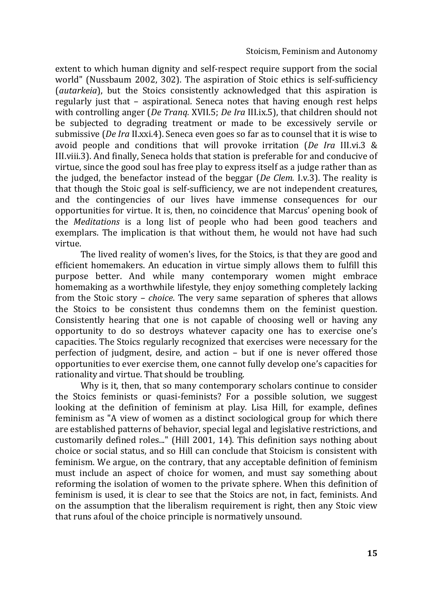extent to which human dignity and self-respect require support from the social world" (Nussbaum 2002, 302). The aspiration of Stoic ethics is self-sufficiency (*autarkeia*), but the Stoics consistently acknowledged that this aspiration is regularly just that – aspirational. Seneca notes that having enough rest helps with controlling anger (*De Tranq.* XVII.5; *De Ira* III.ix.5), that children should not be subjected to degrading treatment or made to be excessively servile or submissive (*De Ira* II.xxi.4). Seneca even goes so far as to counsel that it is wise to avoid people and conditions that will provoke irritation (*De Ira* III.vi.3 & III.viii.3). And finally, Seneca holds that station is preferable for and conducive of virtue, since the good soul has free play to express itself as a judge rather than as the judged, the benefactor instead of the beggar (*De Clem.* I.v.3). The reality is that though the Stoic goal is self-sufficiency, we are not independent creatures, and the contingencies of our lives have immense consequences for our opportunities for virtue. It is, then, no coincidence that Marcus' opening book of the *Meditations* is a long list of people who had been good teachers and exemplars. The implication is that without them, he would not have had such virtue.

The lived reality of women's lives, for the Stoics, is that they are good and efficient homemakers. An education in virtue simply allows them to fulfill this purpose better. And while many contemporary women might embrace homemaking as a worthwhile lifestyle, they enjoy something completely lacking from the Stoic story – *choice*. The very same separation of spheres that allows the Stoics to be consistent thus condemns them on the feminist question. Consistently hearing that one is not capable of choosing well or having any opportunity to do so destroys whatever capacity one has to exercise one's capacities. The Stoics regularly recognized that exercises were necessary for the perfection of judgment, desire, and action – but if one is never offered those opportunities to ever exercise them, one cannot fully develop one's capacities for rationality and virtue. That should be troubling.

Why is it, then, that so many contemporary scholars continue to consider the Stoics feminists or quasi-feminists? For a possible solution, we suggest looking at the definition of feminism at play. Lisa Hill, for example, defines feminism as "A view of women as a distinct sociological group for which there are established patterns of behavior, special legal and legislative restrictions, and customarily defined roles..." (Hill 2001, 14). This definition says nothing about choice or social status, and so Hill can conclude that Stoicism is consistent with feminism. We argue, on the contrary, that any acceptable definition of feminism must include an aspect of choice for women, and must say something about reforming the isolation of women to the private sphere. When this definition of feminism is used, it is clear to see that the Stoics are not, in fact, feminists. And on the assumption that the liberalism requirement is right, then any Stoic view that runs afoul of the choice principle is normatively unsound.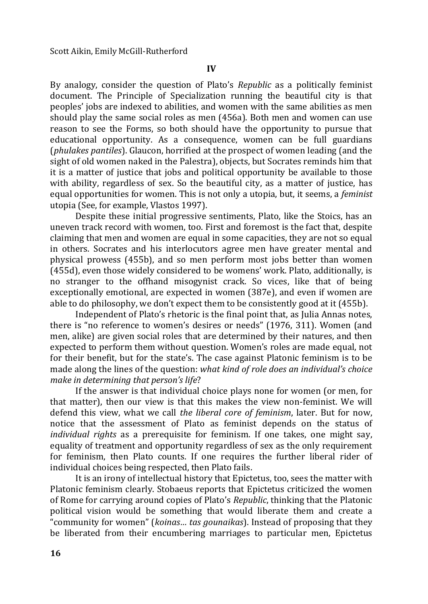By analogy, consider the question of Plato's *Republic* as a politically feminist document. The Principle of Specialization running the beautiful city is that peoples' jobs are indexed to abilities, and women with the same abilities as men should play the same social roles as men (456a). Both men and women can use reason to see the Forms, so both should have the opportunity to pursue that educational opportunity. As a consequence, women can be full guardians (*phulakes pantiles*). Glaucon, horrified at the prospect of women leading (and the sight of old women naked in the Palestra), objects, but Socrates reminds him that it is a matter of justice that jobs and political opportunity be available to those with ability, regardless of sex. So the beautiful city, as a matter of justice, has equal opportunities for women. This is not only a utopia, but, it seems, a *feminist*  utopia (See, for example, Vlastos 1997).

Despite these initial progressive sentiments, Plato, like the Stoics, has an uneven track record with women, too. First and foremost is the fact that, despite claiming that men and women are equal in some capacities, they are not so equal in others. Socrates and his interlocutors agree men have greater mental and physical prowess (455b), and so men perform most jobs better than women (455d), even those widely considered to be womens' work. Plato, additionally, is no stranger to the offhand misogynist crack. So vices, like that of being exceptionally emotional, are expected in women (387e), and even if women are able to do philosophy, we don't expect them to be consistently good at it (455b).

Independent of Plato's rhetoric is the final point that, as Julia Annas notes, there is "no reference to women's desires or needs" (1976, 311). Women (and men, alike) are given social roles that are determined by their natures, and then expected to perform them without question. Women's roles are made equal, not for their benefit, but for the state's. The case against Platonic feminism is to be made along the lines of the question: *what kind of role does an individual's choice make in determining that person's life*?

If the answer is that individual choice plays none for women (or men, for that matter), then our view is that this makes the view non-feminist. We will defend this view, what we call *the liberal core of feminism*, later. But for now, notice that the assessment of Plato as feminist depends on the status of *individual rights* as a prerequisite for feminism. If one takes, one might say, equality of treatment and opportunity regardless of sex as the only requirement for feminism, then Plato counts. If one requires the further liberal rider of individual choices being respected, then Plato fails.

It is an irony of intellectual history that Epictetus, too, sees the matter with Platonic feminism clearly. Stobaeus reports that Epictetus criticized the women of Rome for carrying around copies of Plato's *Republic*, thinking that the Platonic political vision would be something that would liberate them and create a "community for women" (*koinas… tas gounaikas*). Instead of proposing that they be liberated from their encumbering marriages to particular men, Epictetus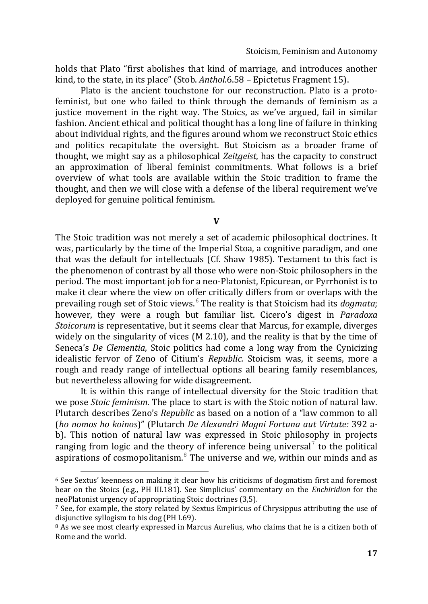holds that Plato "first abolishes that kind of marriage, and introduces another kind, to the state, in its place" (Stob. *Anthol*.6.58 – Epictetus Fragment 15).

Plato is the ancient touchstone for our reconstruction. Plato is a protofeminist, but one who failed to think through the demands of feminism as a justice movement in the right way. The Stoics, as we've argued, fail in similar fashion. Ancient ethical and political thought has a long line of failure in thinking about individual rights, and the figures around whom we reconstruct Stoic ethics and politics recapitulate the oversight. But Stoicism as a broader frame of thought, we might say as a philosophical *Zeitgeist*, has the capacity to construct an approximation of liberal feminist commitments. What follows is a brief overview of what tools are available within the Stoic tradition to frame the thought, and then we will close with a defense of the liberal requirement we've deployed for genuine political feminism.

**V**

The Stoic tradition was not merely a set of academic philosophical doctrines. It was, particularly by the time of the Imperial Stoa, a cognitive paradigm, and one that was the default for intellectuals (Cf. Shaw 1985). Testament to this fact is the phenomenon of contrast by all those who were non-Stoic philosophers in the period. The most important job for a neo-Platonist, Epicurean, or Pyrrhonist is to make it clear where the view on offer critically differs from or overlaps with the prevailing rough set of Stoic views.<sup>6</sup> The reality is that Stoicism had its *dogmata*; however, they were a rough but familiar list. Cicero's digest in *Paradoxa Stoicorum* is representative, but it seems clear that Marcus, for example, diverges widely on the singularity of vices (M 2.10), and the reality is that by the time of Seneca's *De Clementia*, Stoic politics had come a long way from the Cynicizing idealistic fervor of Zeno of Citium's *Republic.* Stoicism was, it seems, more a rough and ready range of intellectual options all bearing family resemblances, but nevertheless allowing for wide disagreement.

It is within this range of intellectual diversity for the Stoic tradition that we pose *Stoic feminism*. The place to start is with the Stoic notion of natural law. Plutarch describes Zeno's *Republic* as based on a notion of a "law common to all (*ho nomos ho koinos*)" (Plutarch *De Alexandri Magni Fortuna aut Virtute:* 392 ab). This notion of natural law was expressed in Stoic philosophy in projects ranging from logic and the theory of inference being universal<sup>7</sup> to the political aspirations of cosmopolitanism. $8$  The universe and we, within our minds and as

j

 $6$  See Sextus' keenness on making it clear how his criticisms of dogmatism first and foremost bear on the Stoics (e.g., PH III.181). See Simplicius' commentary on the *Enchiridion* for the neoPlatonist urgency of appropriating Stoic doctrines (3,5).

 $<sup>7</sup>$  See, for example, the story related by Sextus Empiricus of Chrysippus attributing the use of</sup> disjunctive syllogism to his dog (PH I.69).

<sup>8</sup> As we see most clearly expressed in Marcus Aurelius, who claims that he is a citizen both of Rome and the world.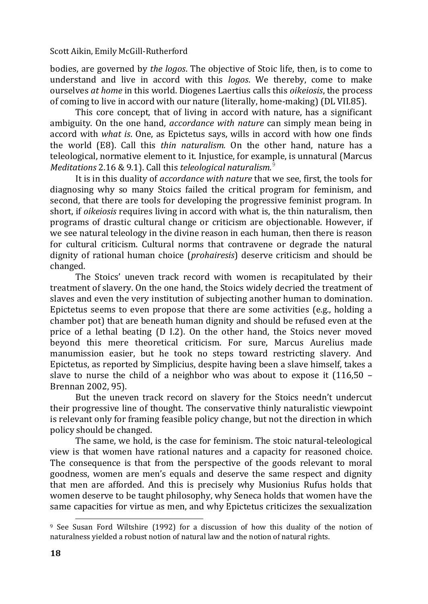bodies, are governed by *the logos*. The objective of Stoic life, then, is to come to understand and live in accord with this *logos*. We thereby, come to make ourselves *at home* in this world. Diogenes Laertius calls this *oikeiosis*, the process of coming to live in accord with our nature (literally, home-making) (DL VII.85).

This core concept, that of living in accord with nature, has a significant ambiguity. On the one hand, *accordance with nature* can simply mean being in accord with *what is*. One, as Epictetus says, wills in accord with how one finds the world (E8). Call this *thin naturalism.* On the other hand, nature has a teleological, normative element to it. Injustice, for example, is unnatural (Marcus *Meditations* 2.16 & 9.1). Call this *teleological naturalism.*<sup>9</sup>

It is in this duality of *accordance with nature* that we see, first, the tools for diagnosing why so many Stoics failed the critical program for feminism, and second, that there are tools for developing the progressive feminist program. In short, if *oikeiosis* requires living in accord with what is, the thin naturalism, then programs of drastic cultural change or criticism are objectionable. However, if we see natural teleology in the divine reason in each human, then there is reason for cultural criticism. Cultural norms that contravene or degrade the natural dignity of rational human choice (*prohairesis*) deserve criticism and should be changed.

The Stoics' uneven track record with women is recapitulated by their treatment of slavery. On the one hand, the Stoics widely decried the treatment of slaves and even the very institution of subjecting another human to domination. Epictetus seems to even propose that there are some activities (e.g., holding a chamber pot) that are beneath human dignity and should be refused even at the price of a lethal beating (D I.2). On the other hand, the Stoics never moved beyond this mere theoretical criticism. For sure, Marcus Aurelius made manumission easier, but he took no steps toward restricting slavery. And Epictetus, as reported by Simplicius, despite having been a slave himself, takes a slave to nurse the child of a neighbor who was about to expose it  $(116,50 -$ Brennan 2002, 95).

But the uneven track record on slavery for the Stoics needn't undercut their progressive line of thought. The conservative thinly naturalistic viewpoint is relevant only for framing feasible policy change, but not the direction in which policy should be changed.

The same, we hold, is the case for feminism. The stoic natural-teleological view is that women have rational natures and a capacity for reasoned choice. The consequence is that from the perspective of the goods relevant to moral goodness, women are men's equals and deserve the same respect and dignity that men are afforded. And this is precisely why Musionius Rufus holds that women deserve to be taught philosophy, why Seneca holds that women have the same capacities for virtue as men, and why Epictetus criticizes the sexualization

l

<sup>9</sup> See Susan Ford Wiltshire (1992) for a discussion of how this duality of the notion of naturalness yielded a robust notion of natural law and the notion of natural rights.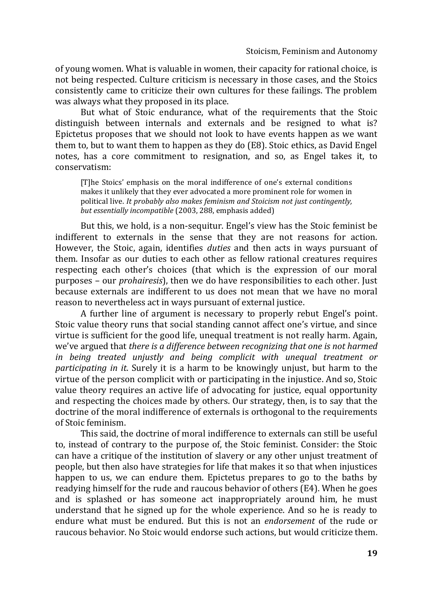of young women. What is valuable in women, their capacity for rational choice, is not being respected. Culture criticism is necessary in those cases, and the Stoics consistently came to criticize their own cultures for these failings. The problem was always what they proposed in its place.

But what of Stoic endurance, what of the requirements that the Stoic distinguish between internals and externals and be resigned to what is? Epictetus proposes that we should not look to have events happen as we want them to, but to want them to happen as they do (E8). Stoic ethics, as David Engel notes, has a core commitment to resignation, and so, as Engel takes it, to conservatism:

[T]he Stoics' emphasis on the moral indifference of one's external conditions makes it unlikely that they ever advocated a more prominent role for women in political live. *It probably also makes feminism and Stoicism not just contingently, but essentially incompatible* (2003, 288, emphasis added)

But this, we hold, is a non-sequitur. Engel's view has the Stoic feminist be indifferent to externals in the sense that they are not reasons for action. However, the Stoic, again, identifies *duties* and then acts in ways pursuant of them. Insofar as our duties to each other as fellow rational creatures requires respecting each other's choices (that which is the expression of our moral purposes – our *prohairesis*), then we do have responsibilities to each other. Just because externals are indifferent to us does not mean that we have no moral reason to nevertheless act in ways pursuant of external justice.

A further line of argument is necessary to properly rebut Engel's point. Stoic value theory runs that social standing cannot affect one's virtue, and since virtue is sufficient for the good life, unequal treatment is not really harm. Again, we've argued that *there is a difference between recognizing that one is not harmed in being treated unjustly and being complicit with unequal treatment or participating in it*. Surely it is a harm to be knowingly unjust, but harm to the virtue of the person complicit with or participating in the injustice. And so, Stoic value theory requires an active life of advocating for justice, equal opportunity and respecting the choices made by others. Our strategy, then, is to say that the doctrine of the moral indifference of externals is orthogonal to the requirements of Stoic feminism.

This said, the doctrine of moral indifference to externals can still be useful to, instead of contrary to the purpose of, the Stoic feminist. Consider: the Stoic can have a critique of the institution of slavery or any other unjust treatment of people, but then also have strategies for life that makes it so that when injustices happen to us, we can endure them. Epictetus prepares to go to the baths by readying himself for the rude and raucous behavior of others (E4). When he goes and is splashed or has someone act inappropriately around him, he must understand that he signed up for the whole experience. And so he is ready to endure what must be endured. But this is not an *endorsement* of the rude or raucous behavior. No Stoic would endorse such actions, but would criticize them.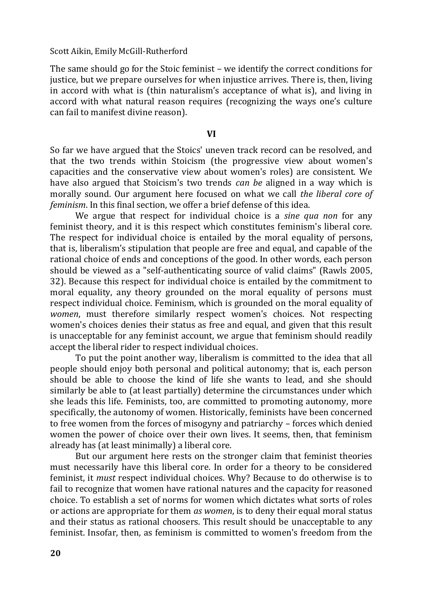The same should go for the Stoic feminist – we identify the correct conditions for justice, but we prepare ourselves for when injustice arrives. There is, then, living in accord with what is (thin naturalism's acceptance of what is), and living in accord with what natural reason requires (recognizing the ways one's culture can fail to manifest divine reason).

#### **VI**

So far we have argued that the Stoics' uneven track record can be resolved, and that the two trends within Stoicism (the progressive view about women's capacities and the conservative view about women's roles) are consistent. We have also argued that Stoicism's two trends *can be* aligned in a way which is morally sound. Our argument here focused on what we call *the liberal core of feminism*. In this final section, we offer a brief defense of this idea.

We argue that respect for individual choice is a *sine qua non* for any feminist theory, and it is this respect which constitutes feminism's liberal core. The respect for individual choice is entailed by the moral equality of persons, that is, liberalism's stipulation that people are free and equal, and capable of the rational choice of ends and conceptions of the good. In other words, each person should be viewed as a "self-authenticating source of valid claims" (Rawls 2005, 32). Because this respect for individual choice is entailed by the commitment to moral equality, any theory grounded on the moral equality of persons must respect individual choice. Feminism, which is grounded on the moral equality of *women*, must therefore similarly respect women's choices. Not respecting women's choices denies their status as free and equal, and given that this result is unacceptable for any feminist account, we argue that feminism should readily accept the liberal rider to respect individual choices.

To put the point another way, liberalism is committed to the idea that all people should enjoy both personal and political autonomy; that is, each person should be able to choose the kind of life she wants to lead, and she should similarly be able to (at least partially) determine the circumstances under which she leads this life. Feminists, too, are committed to promoting autonomy, more specifically, the autonomy of women. Historically, feminists have been concerned to free women from the forces of misogyny and patriarchy – forces which denied women the power of choice over their own lives. It seems, then, that feminism already has (at least minimally) a liberal core.

But our argument here rests on the stronger claim that feminist theories must necessarily have this liberal core. In order for a theory to be considered feminist, it *must* respect individual choices. Why? Because to do otherwise is to fail to recognize that women have rational natures and the capacity for reasoned choice. To establish a set of norms for women which dictates what sorts of roles or actions are appropriate for them *as women*, is to deny their equal moral status and their status as rational choosers. This result should be unacceptable to any feminist. Insofar, then, as feminism is committed to women's freedom from the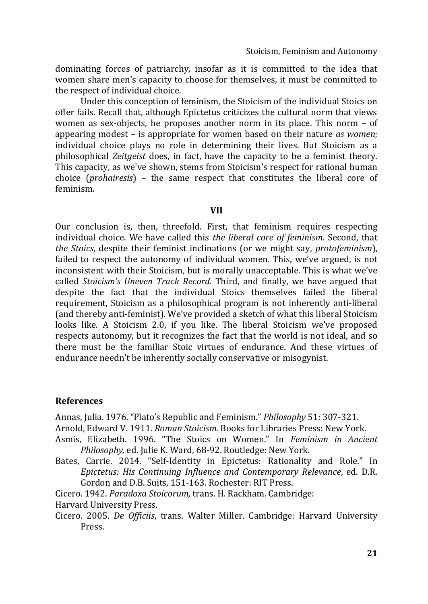dominating forces of patriarchy, insofar as it is committed to the idea that women share men's capacity to choose for themselves, it must be committed to the respect of individual choice.

Under this conception of feminism, the Stoicism of the individual Stoics on offer fails. Recall that, although Epictetus criticizes the cultural norm that views women as sex-objects, he proposes another norm in its place. This norm – of appearing modest – is appropriate for women based on their nature *as women*; individual choice plays no role in determining their lives. But Stoicism as a philosophical *Zeitgeist* does, in fact, have the capacity to be a feminist theory. This capacity, as we've shown, stems from Stoicism's respect for rational human choice (*prohairesis*) – the same respect that constitutes the liberal core of feminism.

#### **VII**

Our conclusion is, then, threefold. First, that feminism requires respecting individual choice. We have called this *the liberal core of feminism.* Second, that *the Stoics*, despite their feminist inclinations (or we might say, *protofeminism*), failed to respect the autonomy of individual women. This, we've argued, is not inconsistent with their Stoicism, but is morally unacceptable. This is what we've called *Stoicism's Uneven Track Record.* Third, and finally, we have argued that despite the fact that the individual Stoics themselves failed the liberal requirement, Stoicism as a philosophical program is not inherently anti-liberal (and thereby anti-feminist). We've provided a sketch of what this liberal Stoicism looks like. A Stoicism 2.0, if you like. The liberal Stoicism we've proposed respects autonomy, but it recognizes the fact that the world is not ideal, and so there must be the familiar Stoic virtues of endurance. And these virtues of endurance needn't be inherently socially conservative or misogynist.

## **References**

Annas, Julia. 1976. "Plato's Republic and Feminism." *Philosophy* 51: 307-321.

Arnold, Edward V. 1911. *Roman Stoicism.* Books for Libraries Press: New York.

- Asmis, Elizabeth. 1996. "The Stoics on Women." In *Feminism in Ancient Philosophy,* ed. Julie K. Ward, 68-92. Routledge: New York.
- Bates, Carrie. 2014. "Self-Identity in Epictetus: Rationality and Role." In *Epictetus: His Continuing Influence and Contemporary Relevance*, ed. D.R. Gordon and D.B. Suits, 151-163. Rochester: RIT Press.

Cicero. 1942. *Paradoxa Stoicorum,* trans. H. Rackham. Cambridge:

Harvard University Press.

Cicero. 2005. *De Officiis*, trans. Walter Miller. Cambridge: Harvard University Press.